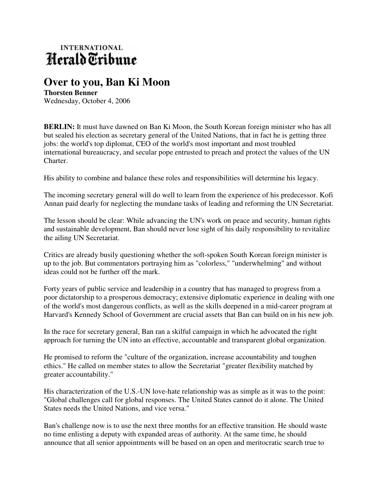## **INTERNATIONAL** Herald Tribune

## **Over to you, Ban Ki Moon**

**Thorsten Benner**  Wednesday, October 4, 2006

**BERLIN:** It must have dawned on Ban Ki Moon, the South Korean foreign minister who has all but sealed his election as secretary general of the United Nations, that in fact he is getting three jobs: the world's top diplomat, CEO of the world's most important and most troubled international bureaucracy, and secular pope entrusted to preach and protect the values of the UN Charter.

His ability to combine and balance these roles and responsibilities will determine his legacy.

The incoming secretary general will do well to learn from the experience of his predecessor. Kofi Annan paid dearly for neglecting the mundane tasks of leading and reforming the UN Secretariat.

The lesson should be clear: While advancing the UN's work on peace and security, human rights and sustainable development, Ban should never lose sight of his daily responsibility to revitalize the ailing UN Secretariat.

Critics are already busily questioning whether the soft-spoken South Korean foreign minister is up to the job. But commentators portraying him as "colorless," "underwhelming" and without ideas could not be further off the mark.

Forty years of public service and leadership in a country that has managed to progress from a poor dictatorship to a prosperous democracy; extensive diplomatic experience in dealing with one of the world's most dangerous conflicts, as well as the skills deepened in a mid-career program at Harvard's Kennedy School of Government are crucial assets that Ban can build on in his new job.

In the race for secretary general, Ban ran a skilful campaign in which he advocated the right approach for turning the UN into an effective, accountable and transparent global organization.

He promised to reform the "culture of the organization, increase accountability and toughen ethics." He called on member states to allow the Secretariat "greater flexibility matched by greater accountability."

His characterization of the U.S.-UN love-hate relationship was as simple as it was to the point: "Global challenges call for global responses. The United States cannot do it alone. The United States needs the United Nations, and vice versa."

Ban's challenge now is to use the next three months for an effective transition. He should waste no time enlisting a deputy with expanded areas of authority. At the same time, he should announce that all senior appointments will be based on an open and meritocratic search true to